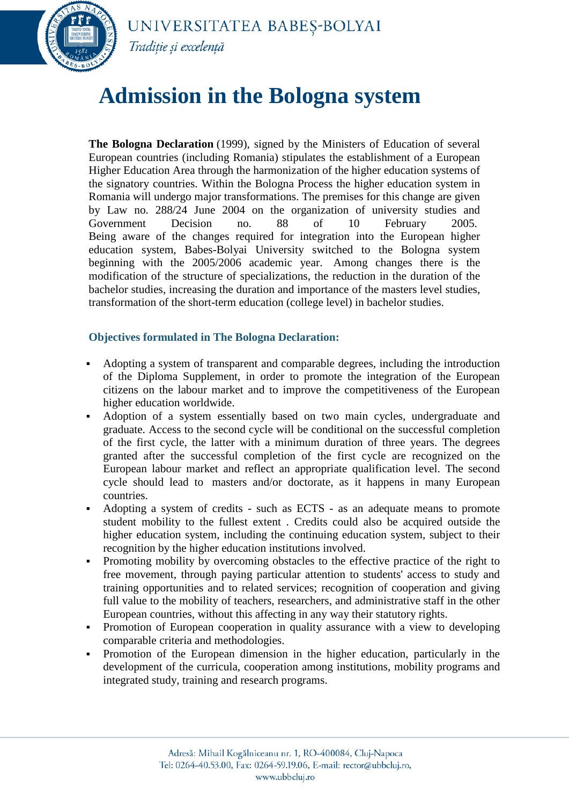

## UNIVERSITATEA BABEȘ-BOLYAI Traditie și excelență

## **Admission in the Bologna system**

**The Bologna Declaration** (1999), signed by the Ministers of Education of several European countries (including Romania) stipulates the establishment of a European Higher Education Area through the harmonization of the higher education systems of the signatory countries. Within the Bologna Process the higher education system in Romania will undergo major transformations. The premises for this change are given by Law no. 288/24 June 2004 on the organization of university studies and Government Decision no. 88 of 10 February 2005. Being aware of the changes required for integration into the European higher education system, Babes-Bolyai University switched to the Bologna system beginning with the 2005/2006 academic year. Among changes there is the modification of the structure of specializations, the reduction in the duration of the bachelor studies, increasing the duration and importance of the masters level studies, transformation of the short-term education (college level) in bachelor studies.

## **Objectives formulated in The Bologna Declaration:**

- Adopting a system of transparent and comparable degrees, including the introduction of the Diploma Supplement, in order to promote the integration of the European citizens on the labour market and to improve the competitiveness of the European higher education worldwide.
- Adoption of a system essentially based on two main cycles, undergraduate and graduate. Access to the second cycle will be conditional on the successful completion of the first cycle, the latter with a minimum duration of three years. The degrees granted after the successful completion of the first cycle are recognized on the European labour market and reflect an appropriate qualification level. The second cycle should lead to masters and/or doctorate, as it happens in many European countries.
- Adopting a system of credits such as ECTS as an adequate means to promote student mobility to the fullest extent . Credits could also be acquired outside the higher education system, including the continuing education system, subject to their recognition by the higher education institutions involved.
- Promoting mobility by overcoming obstacles to the effective practice of the right to free movement, through paying particular attention to students' access to study and training opportunities and to related services; recognition of cooperation and giving full value to the mobility of teachers, researchers, and administrative staff in the other European countries, without this affecting in any way their statutory rights.
- Promotion of European cooperation in quality assurance with a view to developing comparable criteria and methodologies.
- Promotion of the European dimension in the higher education, particularly in the development of the curricula, cooperation among institutions, mobility programs and integrated study, training and research programs.